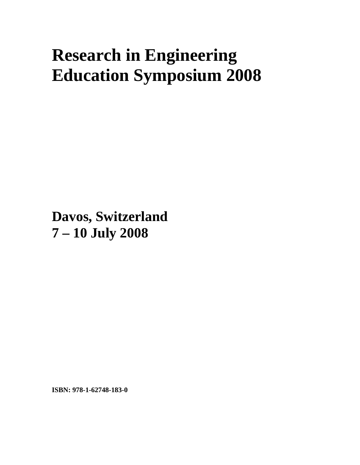# **Research in Engineering Education Symposium 2008**

**Davos, Switzerland 7 – 10 July 2008**

**ISBN: 978-1-62748-183-0**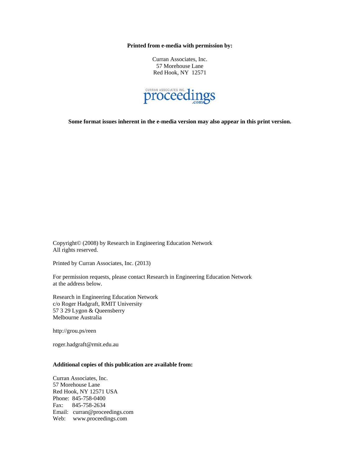**Printed from e-media with permission by:** 

Curran Associates, Inc. 57 Morehouse Lane Red Hook, NY 12571



**Some format issues inherent in the e-media version may also appear in this print version.** 

Copyright© (2008) by Research in Engineering Education Network All rights reserved.

Printed by Curran Associates, Inc. (2013)

For permission requests, please contact Research in Engineering Education Network at the address below.

Research in Engineering Education Network c/o Roger Hadgraft, RMIT University 57 3 29 Lygon & Queensberry Melbourne Australia

http://grou.ps/reen

roger.hadgraft@rmit.edu.au

#### **Additional copies of this publication are available from:**

Curran Associates, Inc. 57 Morehouse Lane Red Hook, NY 12571 USA Phone: 845-758-0400 Fax: 845-758-2634 Email: curran@proceedings.com Web: www.proceedings.com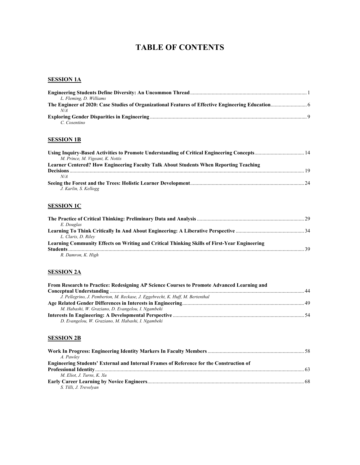# **TABLE OF CONTENTS**

#### **SESSION 1A**

| L. Fleming, D. Williams |                |
|-------------------------|----------------|
|                         |                |
| N/A                     |                |
|                         | $\overline{q}$ |
| $C$ Cosentino           |                |

#### **SESSION 1B**

| M. Prince, M. Vigeant, K. Nottis                                                      |    |
|---------------------------------------------------------------------------------------|----|
| Learner Centered? How Engineering Faculty Talk About Students When Reporting Teaching |    |
|                                                                                       | 19 |
| N/A                                                                                   |    |
|                                                                                       |    |
| J. Karlin, S. Kellogg                                                                 |    |

#### **SESSION 1C**

| E. Douglas                                                                                   |      |
|----------------------------------------------------------------------------------------------|------|
|                                                                                              |      |
| L. Claris. D. Rilev                                                                          |      |
| Learning Community Effects on Writing and Critical Thinking Skills of First-Year Engineering |      |
|                                                                                              | - 39 |
| R. Damron, K. High                                                                           |      |

# **SESSION 2A**

| From Research to Practice: Redesigning AP Science Courses to Promote Advanced Learning and |  |
|--------------------------------------------------------------------------------------------|--|
|                                                                                            |  |
| J. Pellegrino, J. Pemberton, M. Reckase, J. Eggebrecht, K. Huff, M. Bertenthal             |  |
|                                                                                            |  |
| M. Habashi, W. Graziano, D. Evangelou, I. Ngambeki                                         |  |
|                                                                                            |  |
| D. Evangelou, W. Graziano, M. Habashi, I. Ngambeki                                         |  |

#### **SESSION 2B**

| A. Pawley                                                                                      |  |
|------------------------------------------------------------------------------------------------|--|
| <b>Engineering Students' External and Internal Frames of Reference for the Construction of</b> |  |
|                                                                                                |  |
| M. Eliot. J. Turns. K. Xu                                                                      |  |
|                                                                                                |  |
| S. Tilli, J. Trevelyan                                                                         |  |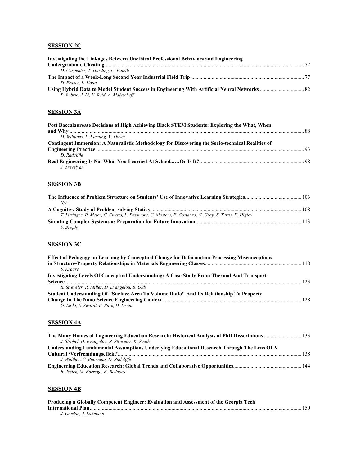# **SESSION 2C**

| Investigating the Linkages Between Unethical Professional Behaviors and Engineering |  |
|-------------------------------------------------------------------------------------|--|
|                                                                                     |  |
| D. Carpenter, T. Harding, C. Finelli                                                |  |
|                                                                                     |  |
| D. Fraser. L. Kotta                                                                 |  |
|                                                                                     |  |
| P. Imbrie, J. Li, K. Reid, A. Malyscheff                                            |  |

# **SESSION 3A**

| Post Baccalaureate Decisions of High Achieving Black STEM Students: Exploring the What, When             |  |
|----------------------------------------------------------------------------------------------------------|--|
|                                                                                                          |  |
| D. Williams, L. Fleming, V. Dover                                                                        |  |
| <b>Contingent Immersion: A Naturalistic Methodology for Discovering the Socio-technical Realities of</b> |  |
|                                                                                                          |  |
| D. Radcliffe                                                                                             |  |
| J. Trevelvan                                                                                             |  |

# **SESSION 3B**

| N/A                                                                                                    |  |
|--------------------------------------------------------------------------------------------------------|--|
|                                                                                                        |  |
| T. Litzinger, P. Meter, C. Firetto, L. Passmore, C. Masters, F. Costanzo, G. Gray, S. Turns, K. Higley |  |
|                                                                                                        |  |
| S. Brophy                                                                                              |  |

# **SESSION 3C**

| <b>Effect of Pedagogy on Learning by Conceptual Change for Deformation-Processing Misconceptions</b> |  |
|------------------------------------------------------------------------------------------------------|--|
|                                                                                                      |  |
| S. Krause                                                                                            |  |
| Investigating Levels Of Conceptual Understanding: A Case Study From Thermal And Transport            |  |
|                                                                                                      |  |
| R. Streveler, R. Miller, D. Evangelou, B. Olds                                                       |  |
| Student Understanding Of "Surface Area To Volume Ratio" And Its Relationship To Property             |  |
|                                                                                                      |  |
| G. Light, S. Swarat, E. Park, D. Drane                                                               |  |

# **SESSION 4A**

| J. Strobel, D. Evangelou, R. Streveler, K. Smith                                            |  |
|---------------------------------------------------------------------------------------------|--|
| Understanding Fundamental Assumptions Underlying Educational Research Through The Lens Of A |  |
|                                                                                             |  |
| J. Walther, C. Boonchai, D. Radcliffe                                                       |  |
|                                                                                             |  |
| B. Jesiek, M. Borrego, K. Beddoes                                                           |  |

# **SESSION 4B**

| Producing a Globally Competent Engineer: Evaluation and Assessment of the Georgia Tech |  |
|----------------------------------------------------------------------------------------|--|
|                                                                                        |  |
| J. Gordon. J. Lohmann                                                                  |  |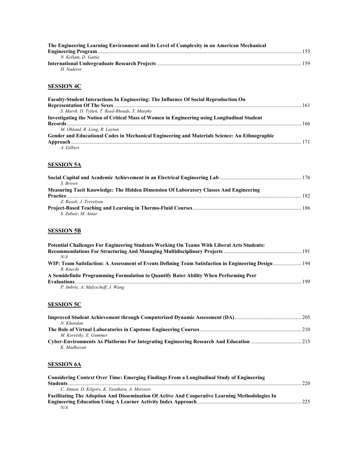| The Engineering Learning Environment and its Level of Complexity in an American Mechanical |  |
|--------------------------------------------------------------------------------------------|--|
|                                                                                            |  |
| N. Kellam. D. Gattie                                                                       |  |
|                                                                                            |  |
| H Naderer                                                                                  |  |

# **SESSION 4C**

| <b>Faculty-Student Interactions In Engineering: The Influence Of Social Reproduction On</b>   |  |
|-----------------------------------------------------------------------------------------------|--|
| S. Marsh, D. Tytten, T. Reed-Rhoads, T. Murphy                                                |  |
| Investigating the Notion of Critical Mass of Women in Engineering using Longitudinal Student  |  |
|                                                                                               |  |
| M. Ohland, R. Long, R. Layton                                                                 |  |
| Gender and Educational Codes in Mechanical Engineering and Materials Science: An Ethnographic |  |
|                                                                                               |  |
| 1 Cilbort                                                                                     |  |

*A. Gilbert* 

### **SESSION 5A**

| S Brown                                                                                      |  |
|----------------------------------------------------------------------------------------------|--|
| <b>Measuring Tacit Knowledge: The Hidden Dimension Of Laboratory Classes And Engineering</b> |  |
|                                                                                              |  |
| Z. Razali, J. Trevelyan                                                                      |  |
|                                                                                              |  |
| S. Zubair, M. Antar                                                                          |  |

# **SESSION 5B**

| Potential Challenges For Engineering Students Working On Teams With Liberal Arts Students:                        |  |
|-------------------------------------------------------------------------------------------------------------------|--|
|                                                                                                                   |  |
| N/A                                                                                                               |  |
| WIP: Team Satisfaction: A Assessment of Events Defining Team Satisfaction in Engineering Design  194<br>R. Knecht |  |
| A Semidefinite Programming Formulation to Quantify Rater Ability When Performing Peer                             |  |
|                                                                                                                   |  |
| P. Imbrie, A. Malyscheff, J. Wang                                                                                 |  |

# **SESSION 5C**

| N. Khandan             |  |
|------------------------|--|
|                        |  |
| M. Koretsky, E. Gummer |  |
|                        |  |
| K. Madhayan            |  |

# **SESSION 6A**

| <b>Considering Context Over Time: Emerging Findings From a Longitudinal Study of Engineering</b> |     |
|--------------------------------------------------------------------------------------------------|-----|
|                                                                                                  | 220 |
| C. Atman, D. Kilgore, K. Yasuhara, A. Morozov                                                    |     |
| Facilitating The Adoption And Dissemination Of Active And Cooperative Learning Methodologies In  |     |
|                                                                                                  |     |
| N/A                                                                                              |     |